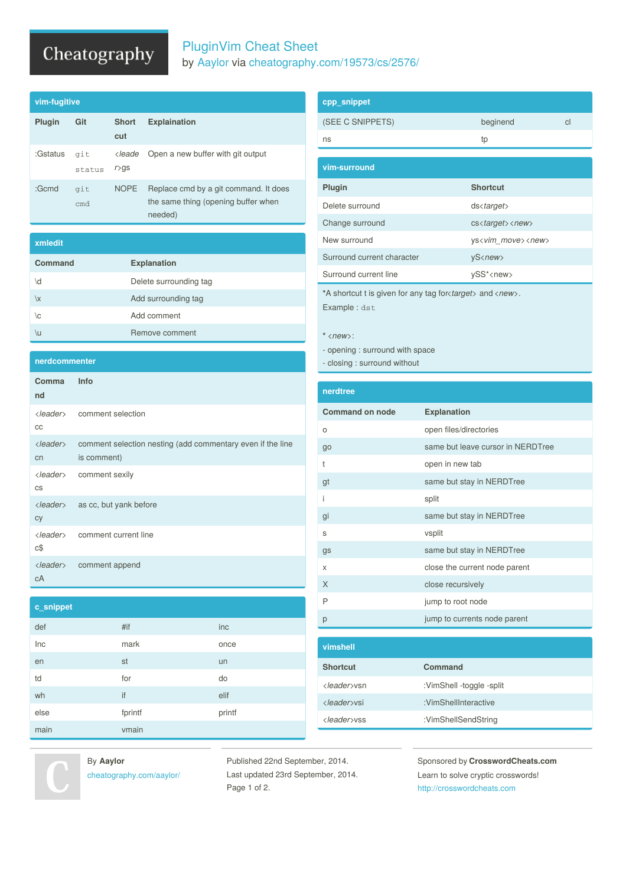## Cheatography

#### PluginVim Cheat Sheet by [Aaylor](http://www.cheatography.com/aaylor/) via [cheatography.com/19573/cs/2576/](http://www.cheatography.com/aaylor/cheat-sheets/pluginvim)

| vim-fugitive |               |                                           |                                                                                         |
|--------------|---------------|-------------------------------------------|-----------------------------------------------------------------------------------------|
| Plugin       | Git           | <b>Short</b><br>cut                       | <b>Explaination</b>                                                                     |
| :Gstatus     | git<br>status | <leade<br><math>r&gt;</math>qs</leade<br> | Open a new buffer with git output                                                       |
| :Gcmd        | git<br>cmd    | <b>NOPE</b>                               | Replace cmd by a git command. It does<br>the same thing (opening buffer when<br>needed) |

| xmledit |                        |
|---------|------------------------|
| Command | <b>Explanation</b>     |
| \d      | Delete surrounding tag |
| \x      | Add surrounding tag    |
| \c      | Add comment            |
| \u      | Remove comment         |

**nerdcommenter**

| Comma<br>nd                    | Info                                                                      |
|--------------------------------|---------------------------------------------------------------------------|
| CC                             | <leader> comment selection</leader>                                       |
| $\langle leader \rangle$<br>cn | comment selection nesting (add commentary even if the line<br>is comment) |
| <leader><br/>CS</leader>       | comment sexily                                                            |
| <leader><br/>cy</leader>       | as cc, but yank before                                                    |
| $c$ \$                         | < <i>leader</i> > comment current line                                    |
| $\langle leader \rangle$<br>сA | comment append                                                            |

| cpp_snippet                                                                                                        |                                                 |    |
|--------------------------------------------------------------------------------------------------------------------|-------------------------------------------------|----|
| (SEE C SNIPPETS)                                                                                                   | beginend                                        | cl |
| ns                                                                                                                 | tp                                              |    |
| vim-surround                                                                                                       |                                                 |    |
| Plugin                                                                                                             | <b>Shortcut</b>                                 |    |
| Delete surround                                                                                                    | $ds \langle target \rangle$                     |    |
| Change surround                                                                                                    | $cs \langle target \rangle \langle new \rangle$ |    |
| New surround                                                                                                       | ys <vim move=""><new></new></vim>               |    |
| Surround current character                                                                                         | yS <new></new>                                  |    |
| Surround current line                                                                                              | ySS* <new></new>                                |    |
| *A shortcut t is given for any tag for <i>starget</i> and <i>snew</i> .<br>Experience for the control of the state |                                                 |    |

Example : dst

**\*** *<new>*:

- opening : surround with space

- closing : surround without

| nerdtree |  |  |
|----------|--|--|
|          |  |  |
|          |  |  |

| <b>Command on node</b> | <b>Explanation</b>                |
|------------------------|-----------------------------------|
| O                      | open files/directories            |
| go                     | same but leave cursor in NERDTree |
| t                      | open in new tab                   |
| gt                     | same but stay in NERDTree         |
| i                      | split                             |
| gi                     | same but stay in NERDTree         |
| S                      | vsplit                            |
| gs                     | same but stay in NERDTree         |
| X                      | close the current node parent     |
| X                      | close recursively                 |
| P                      | jump to root node                 |
| р                      | jump to currents node parent      |
|                        |                                   |
| vimshell               |                                   |

| тшысп                |                          |
|----------------------|--------------------------|
| <b>Shortcut</b>      | Command                  |
| <leader>vsn</leader> | :VimShell -toggle -split |
| <leader>vsi</leader> | :VimShellInteractive     |
| <leader>vss</leader> | :VimShellSendString      |



main vmain

**c\_snippet**

By **Aaylor** [cheatography.com/aaylor/](http://www.cheatography.com/aaylor/)

def #if inc Inc mark mark once en staan de staan de offisjele op de offisjele offisjele offisjele offisjele offisjele offisjele offisjele off td to the form of the do  $w$ h if elif else fprintf printf printf

> Published 22nd September, 2014. Last updated 23rd September, 2014. Page 1 of 2.

Sponsored by **CrosswordCheats.com** Learn to solve cryptic crosswords! <http://crosswordcheats.com>